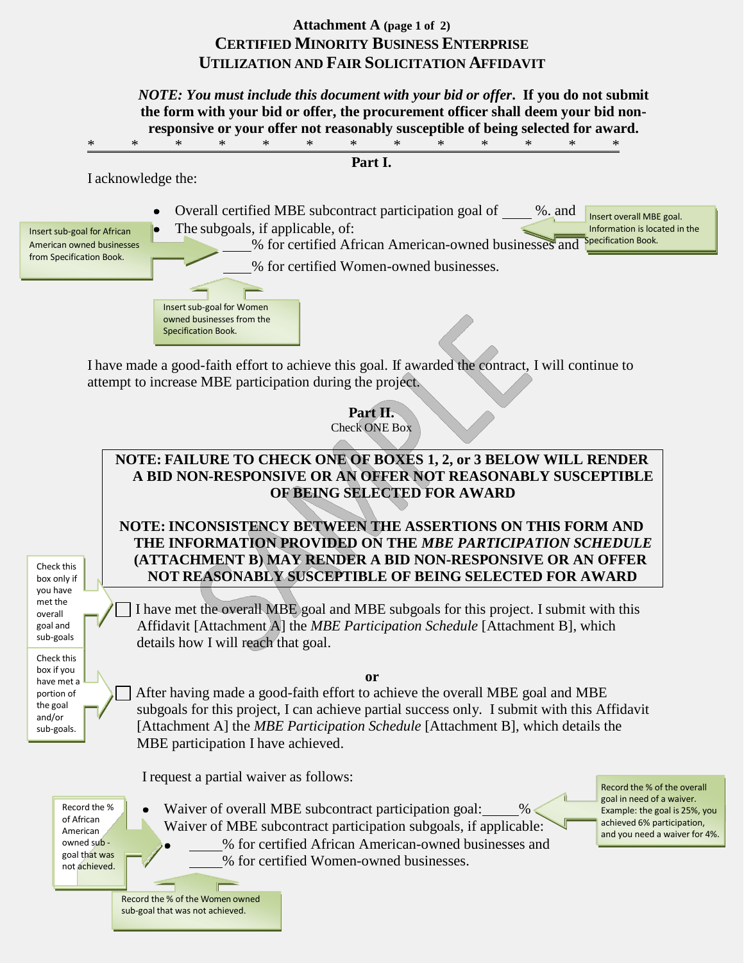# **Attachment A (page 1 of 2) CERTIFIED MINORITY BUSINESS ENTERPRISE UTILIZATION AND FAIR SOLICITATION AFFIDAVIT**

*NOTE: You must include this document with your bid or offer***. If you do not submit the form with your bid or offer, the procurement officer shall deem your bid nonresponsive or your offer not reasonably susceptible of being selected for award.** \* \* \* \* \* \* \* \* \* \* \* \* \* \* **Part I.**

I acknowledge the:

Insert sub-goal for Women owned businesses from the Specification Book.

- Overall certified MBE subcontract participation goal of  $\_\_\_\%$ . and  $\_\_\_\$ Insert overall MBE goal.  $\bullet$
- American owned businesses from Specification Book.
- Insert sub-goal for African **Controlle** The subgoals, if applicable, of: Information is located in the Information is located in the Information is located in the Substance of the Substance of the Substance of the Substanc % for certified African American-owned businesses and % for certified Women-owned businesses.

I have made a good-faith effort to achieve this goal. If awarded the contract, I will continue to attempt to increase MBE participation during the project.

> **Part II.** Check ONE Box

## **NOTE: FAILURE TO CHECK ONE OF BOXES 1, 2, or 3 BELOW WILL RENDER A BID NON-RESPONSIVE OR AN OFFER NOT REASONABLY SUSCEPTIBLE OF BEING SELECTED FOR AWARD**

**NOTE: INCONSISTENCY BETWEEN THE ASSERTIONS ON THIS FORM AND THE INFORMATION PROVIDED ON THE** *MBE PARTICIPATION SCHEDULE*  **(ATTACHMENT B) MAY RENDER A BID NON-RESPONSIVE OR AN OFFER NOT REASONABLY SUSCEPTIBLE OF BEING SELECTED FOR AWARD**

I have met the overall MBE goal and MBE subgoals for this project. I submit with this Affidavit [Attachment A] the *MBE Participation Schedule* [Attachment B], which details how I will reach that goal.

**or**

After having made a good-faith effort to achieve the overall MBE goal and MBE subgoals for this project, I can achieve partial success only. I submit with this Affidavit [Attachment A] the *MBE Participation Schedule* [Attachment B], which details the MBE participation I have achieved.

I request a partial waiver as follows:

Record the % of African American owned sub goal that was not achieved.

Check this box only if you have met the overall goal and sub-goals Check this box if you have met a portion of the goal and/or sub-goals.

> Waiver of overall MBE subcontract participation goal: Waiver of MBE subcontract participation subgoals, if applicable: % for certified African American-owned businesses and % for certified Women-owned businesses.

Record the % of the overall goal in need of a waiver. Example: the goal is 25%, you achieved 6% participation, and you need a waiver for 4%.

Record the % of the Women owned sub-goal that was not achieved.